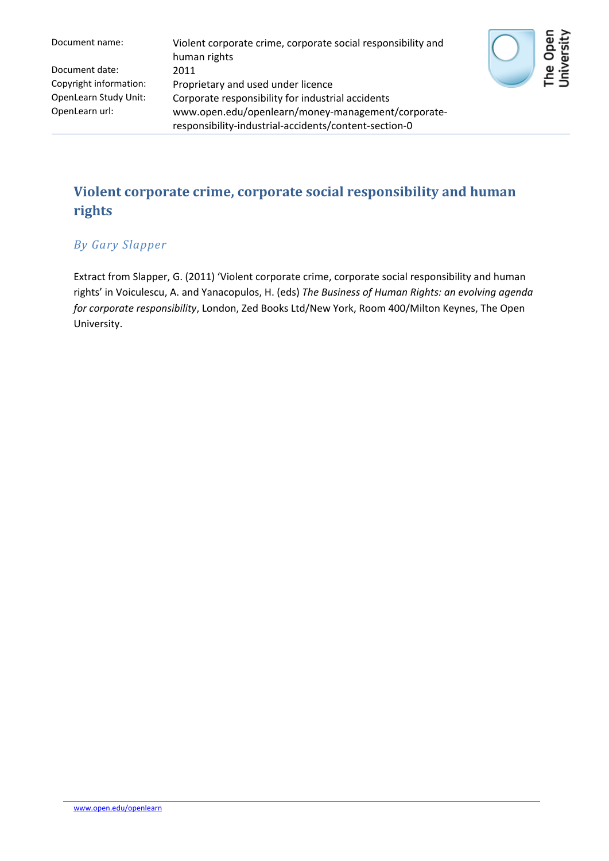| Document name:         | Violent corporate crime, corporate social responsibility and<br>human rights |
|------------------------|------------------------------------------------------------------------------|
| Document date:         | 2011                                                                         |
| Copyright information: | Proprietary and used under licence                                           |
| OpenLearn Study Unit:  | Corporate responsibility for industrial accidents                            |
| OpenLearn url:         | www.open.edu/openlearn/money-management/corporate-                           |
|                        | responsibility-industrial-accidents/content-section-0                        |



## **Violent corporate crime, corporate social responsibility and human rights**

## *By Gary Slapper*

Extract from Slapper, G. (2011) 'Violent corporate crime, corporate social responsibility and human rights' in Voiculescu, A. and Yanacopulos, H. (eds) *The Business of Human Rights: an evolving agenda for corporate responsibility*, London, Zed Books Ltd/New York, Room 400/Milton Keynes, The Open University.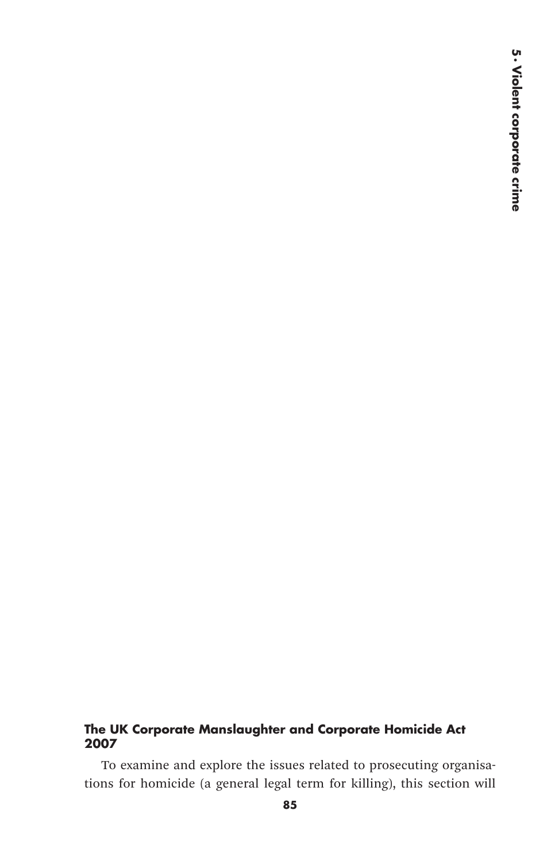## **The UK Corporate Manslaughter and Corporate Homicide Act 2007**

To examine and explore the issues related to prosecuting organisations for homicide (a general legal term for killing), this section will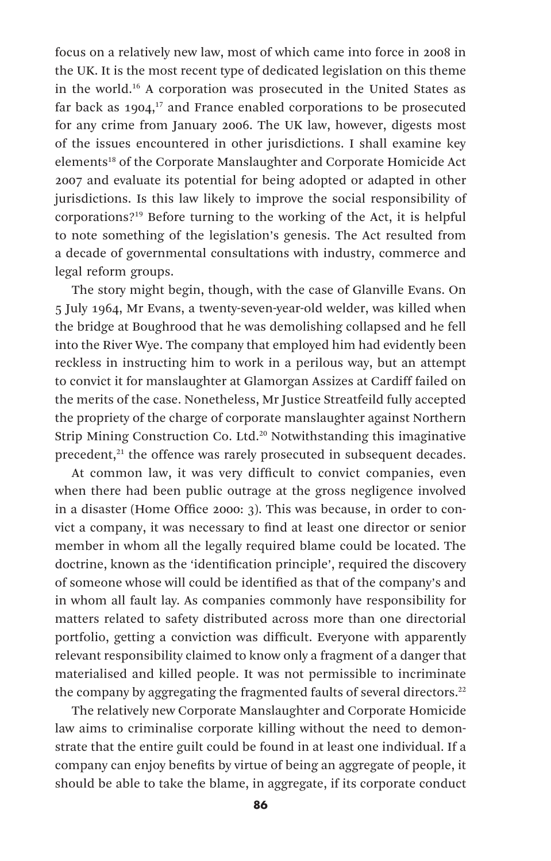focus on a relatively new law, most of which came into force in 2008 in the UK. It is the most recent type of dedicated legislation on this theme in the world.16 A corporation was prosecuted in the United States as far back as  $1904$ ,<sup>17</sup> and France enabled corporations to be prosecuted for any crime from January 2006. The UK law, however, digests most of the issues encountered in other jurisdictions. I shall examine key elements<sup>18</sup> of the Corporate Manslaughter and Corporate Homicide Act 2007 and evaluate its potential for being adopted or adapted in other jurisdictions. Is this law likely to improve the social responsibility of corporations?19 Before turning to the working of the Act, it is helpful to note something of the legislation's genesis. The Act resulted from a decade of governmental consultations with industry, commerce and legal reform groups.

The story might begin, though, with the case of Glanville Evans. On 5 July 1964, Mr Evans, a twenty-seven-year-old welder, was killed when the bridge at Boughrood that he was demolishing collapsed and he fell into the River Wye. The company that employed him had evidently been reckless in instructing him to work in a perilous way, but an attempt to convict it for manslaughter at Glamorgan Assizes at Cardiff failed on the merits of the case. Nonetheless, Mr Justice Streatfeild fully accepted the propriety of the charge of corporate manslaughter against Northern Strip Mining Construction Co. Ltd.20 Notwithstanding this imaginative precedent,<sup>21</sup> the offence was rarely prosecuted in subsequent decades.

At common law, it was very difficult to convict companies, even when there had been public outrage at the gross negligence involved in a disaster (Home Office 2000: 3). This was because, in order to convict a company, it was necessary to find at least one director or senior member in whom all the legally required blame could be located. The doctrine, known as the 'identification principle', required the discovery of someone whose will could be identified as that of the company's and in whom all fault lay. As companies commonly have responsibility for matters related to safety distributed across more than one directorial portfolio, getting a conviction was difficult. Everyone with apparently relevant responsibility claimed to know only a fragment of a danger that materialised and killed people. It was not permissible to incriminate the company by aggregating the fragmented faults of several directors.<sup>22</sup>

The relatively new Corporate Manslaughter and Corporate Homicide law aims to criminalise corporate killing without the need to demonstrate that the entire guilt could be found in at least one individual. If a company can enjoy benefits by virtue of being an aggregate of people, it should be able to take the blame, in aggregate, if its corporate conduct